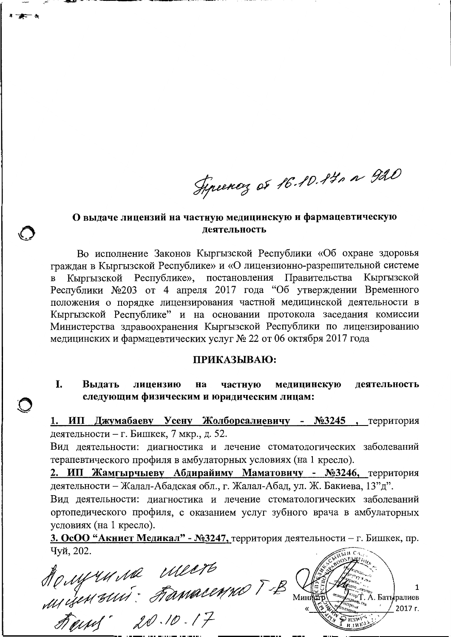Figuency of 16.10.14, a 920

## О выдаче лицензий на частную медицинскую и фармацевтическую леятельность

Во исполнение Законов Кыргызской Республики «Об охране здоровья граждан в Кыргызской Республике» и «О лицензионно-разрешительной системе Кыргызской Республике», постановления Правительства Кыргызской Республики №203 от 4 апреля 2017 года "Об утверждении Временного положения о порядке лицензирования частной медицинской деятельности в Кыргызской Республике" и на основании протокола заседания комиссии Министерства здравоохранения Кыргызской Республики по лицензированию медицинских и фармацевтических услуг № 22 от 06 октября 2017 года

## ПРИКАЗЫВАЮ:

I. Выдать частную медицинскую лицензию на деятельность следующим физическим и юридическим лицам:

1. ИП Джумабаеву Усену Жолборсалиевичу - №3245, территория деятельности - г. Бишкек, 7 мкр., д. 52.

Вид деятельности: диагностика и лечение стоматологических заболеваний терапевтического профиля в амбулаторных условиях (на 1 кресло).

2. ИП Жамгырчыеву Абдирайиму Маматовичу - №3246, территория деятельности - Жалал-Абадская обл., г. Жалал-Абад, ул. Ж. Бакиева, 13"д".

Вид деятельности: диагностика и лечение стоматологических заболеваний ортопедического профиля, с оказанием услуг зубного врача в амбулаторных условиях (на 1 кресло).

3. ОсОО "Акниет Медикал" - №3247, территория деятельности - г. Бишкек, пр. Чуй. 202.

Mongrumme Meere<br>Migenrui: Famacenno TB<br>Famis 20.10.17 1 2017 г.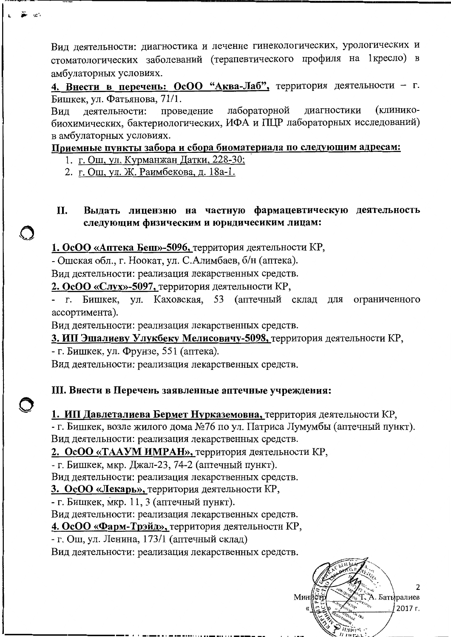Вид деятельности: диагностика и лечение гинекологических, урологических и стоматологических заболеваний (терапевтического профиля на 1 кресло) в амбулаторных условиях.

4. Внести в перечень: ОсОО "Аква-Лаб", территория деятельности - г. Бишкек, ул. Фатьянова, 71/1.

лабораторной лиагностики (клинико-Вид леятельности: проведение биохимических, бактериологических, ИФА и ПЦР лабораторных исследований) в амбулаторных условиях.

Приемные пункты забора и сбора биоматериала по следующим адресам:

- 1. г. Ош, ул. Курманжан Датки, 228-30;
- 2. г. Ош, ул. Ж. Раимбекова, д. 18а-1.
- II. Выдать лицензию на частную фармацевтическую деятельность следующим физическим и юридичесиким лицам:

1. ОсОО «Аптека Беш»-5096, территория деятельности КР,

- Ошская обл., г. Ноокат, ул. С.Алимбаев, б/н (аптека).

Вид деятельности: реализация лекарственных средств.

2. ОсОО «Слух»-5097, территория деятельности КР,

Бишкек, ул. Каховская, 53 (аптечный склад  $\Gamma$ . цля ограниченного ассортимента).

Вид деятельности: реализация лекарственных средств.

3. ИП Эшалиеву Улукбеку Мелисовичу-5098, территория деятельности КР,

- г. Бишкек, ул. Фрунзе, 551 (аптека).

Вид деятельности: реализация лекарственных средств.

## III. Внести в Перечень заявленные аптечные учреждения:

1. ИП Давлеталиева Бермет Нурказемовна, территория деятельности КР, - г. Бишкек, возле жилого дома №76 по ул. Патриса Лумумбы (аптечный пункт). Вид деятельности: реализация лекарственных средств.

2. ОсОО «ТААУМ ИМРАН», территория деятельности КР,

- г. Бишкек, мкр. Джал-23, 74-2 (аптечный пункт).

Вид деятельности: реализация лекарственных средств.

3. ОсОО «Лекарь», территория деятельности КР,

- г. Бишкек, мкр. 11, 3 (аптечный пункт).

Вид деятельности: реализация лекарственных средств.

4. ОсОО «Фарм-Трэйд», территория деятельности КР,

- г. Ош, ул. Ленина, 173/1 (аптечный склад)

Вид деятельности: реализация лекарственных средств.